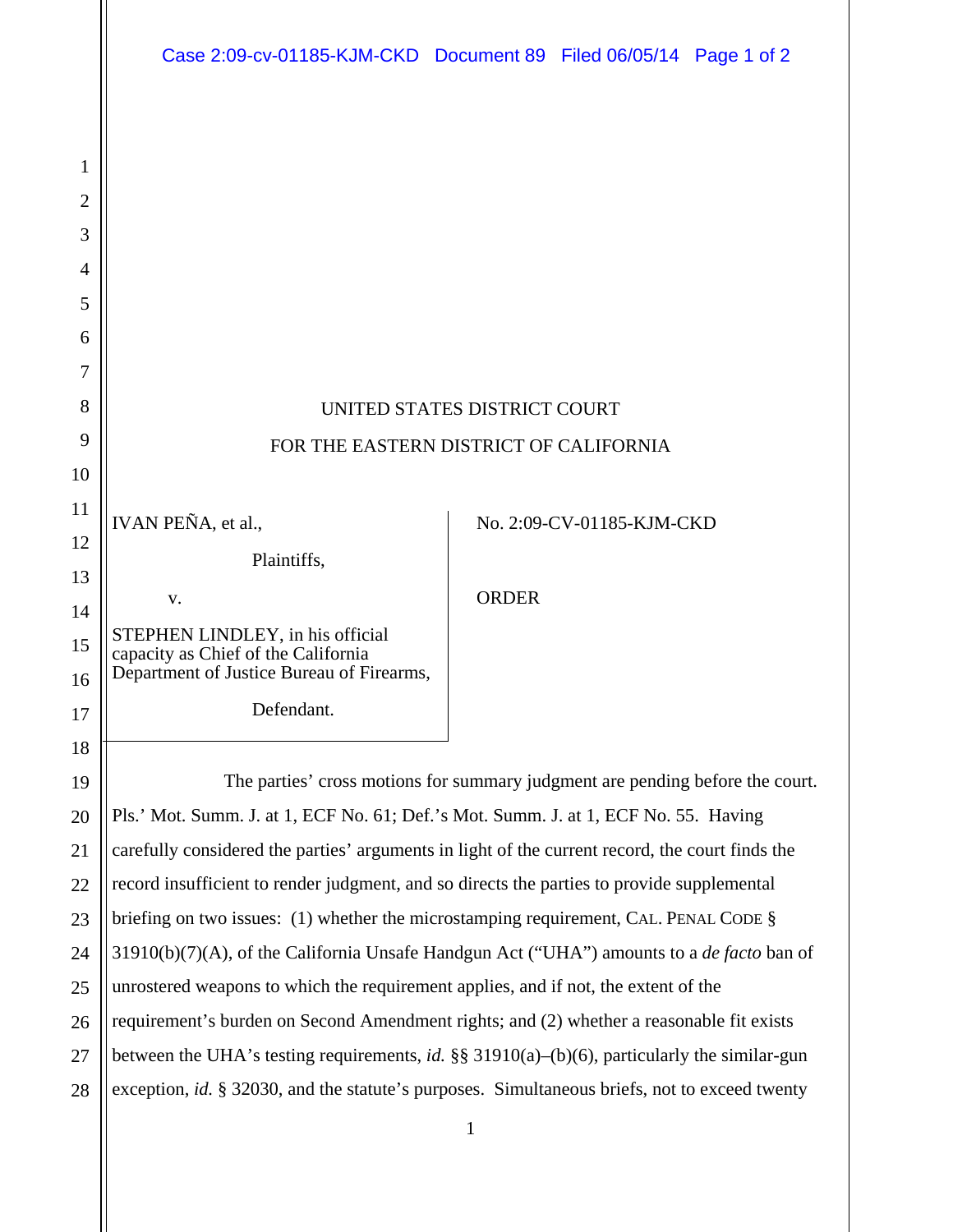| Case 2:09-cv-01185-KJM-CKD Document 89 Filed 06/05/14 Page 1 of 2 |  |  |
|-------------------------------------------------------------------|--|--|
|                                                                   |  |  |

1

2

| 3              |                                                                                                 |                           |  |  |
|----------------|-------------------------------------------------------------------------------------------------|---------------------------|--|--|
| $\overline{4}$ |                                                                                                 |                           |  |  |
| 5              |                                                                                                 |                           |  |  |
| 6              |                                                                                                 |                           |  |  |
| 7              |                                                                                                 |                           |  |  |
| 8              | UNITED STATES DISTRICT COURT                                                                    |                           |  |  |
| 9              | FOR THE EASTERN DISTRICT OF CALIFORNIA                                                          |                           |  |  |
| 10             |                                                                                                 |                           |  |  |
| 11             | IVAN PEÑA, et al.,                                                                              | No. 2:09-CV-01185-KJM-CKD |  |  |
| 12             |                                                                                                 |                           |  |  |
| 13             | Plaintiffs,                                                                                     |                           |  |  |
| 14             | V.                                                                                              | <b>ORDER</b>              |  |  |
| 15             | STEPHEN LINDLEY, in his official<br>capacity as Chief of the California                         |                           |  |  |
| 16             | Department of Justice Bureau of Firearms,                                                       |                           |  |  |
| 17             | Defendant.                                                                                      |                           |  |  |
| 18             |                                                                                                 |                           |  |  |
| 19             | The parties' cross motions for summary judgment are pending before the court.                   |                           |  |  |
| 20             | Pls.' Mot. Summ. J. at 1, ECF No. 61; Def.'s Mot. Summ. J. at 1, ECF No. 55. Having             |                           |  |  |
| 21             | carefully considered the parties' arguments in light of the current record, the court finds the |                           |  |  |
| 22             | record insufficient to render judgment, and so directs the parties to provide supplemental      |                           |  |  |
| 23             | briefing on two issues: (1) whether the microstamping requirement, CAL. PENAL CODE §            |                           |  |  |

24 25 26 27 28 31910(b)(7)(A), of the California Unsafe Handgun Act ("UHA") amounts to a *de facto* ban of unrostered weapons to which the requirement applies, and if not, the extent of the requirement's burden on Second Amendment rights; and (2) whether a reasonable fit exists between the UHA's testing requirements, *id.* §§ 31910(a)–(b)(6), particularly the similar-gun exception, *id.* § 32030, and the statute's purposes. Simultaneous briefs, not to exceed twenty

1